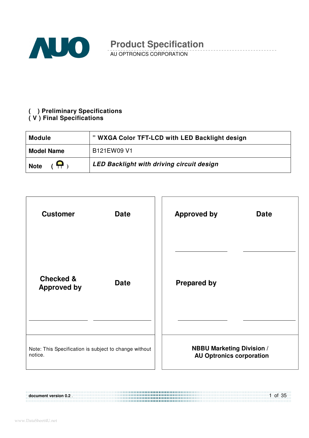

AU OPTRONICS CORPORATION

#### **( ) Preliminary Specifications ( V ) Final Specifications**

| <b>Module</b>               | " WXGA Color TFT-LCD with LED Backlight design |
|-----------------------------|------------------------------------------------|
| <b>Model Name</b>           | B121EW09 V1                                    |
| $\mathbf{P}$<br><b>Note</b> | LED Backlight with driving circuit design      |

| <b>Customer</b>                                           | <b>Approved by</b>               |
|-----------------------------------------------------------|----------------------------------|
| <b>Date</b>                                               | <b>Date</b>                      |
| <b>Checked &amp;</b><br><b>Date</b><br><b>Approved by</b> | <b>Prepared by</b>               |
| Note: This Specification is subject to change without     | <b>NBBU Marketing Division /</b> |
| notice.                                                   | <b>AU Optronics corporation</b>  |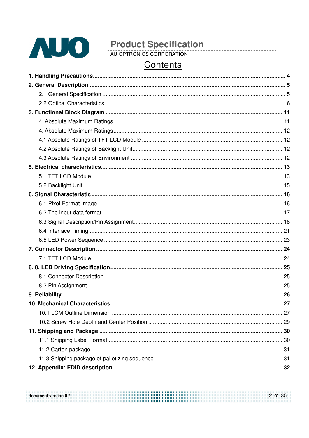

# Contents

| 10. Mechanical Characteristics. | 27 |
|---------------------------------|----|
|                                 |    |
|                                 |    |
|                                 |    |
|                                 |    |
|                                 |    |
|                                 |    |
|                                 |    |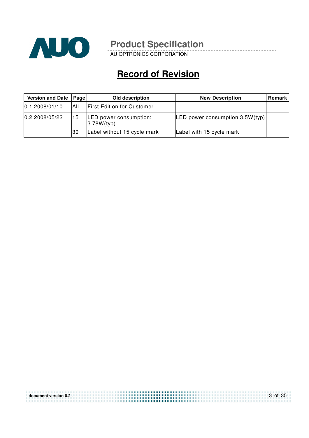

\_\_\_\_\_\_\_\_\_

AU OPTRONICS CORPORATION

# **Record of Revision**

| Version and Date | Page | Old description                       | <b>New Description</b>            | Remark |
|------------------|------|---------------------------------------|-----------------------------------|--------|
| 0.12008/01/10    | All  | <b>First Edition for Customer</b>     |                                   |        |
| 0.2 2008/05/22   | 15   | LED power consumption:<br> 3.78W(typ) | LED power consumption $3.5W(typ)$ |        |
|                  | 30   | Label without 15 cycle mark           | Label with 15 cycle mark          |        |

| document version 0.2 | 3 of 35 |
|----------------------|---------|
|                      |         |
|                      |         |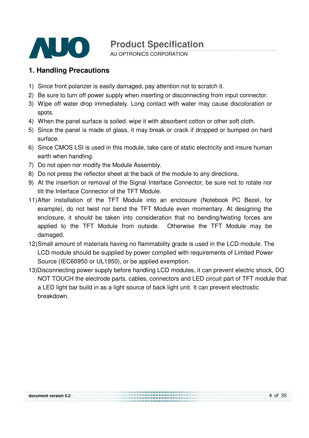

AU OPTRONICS CORPORATION

### **1. Handling Precautions**

- 1) Since front polarizer is easily damaged, pay attention not to scratch it.
- 2) Be sure to turn off power supply when inserting or disconnecting from input connector.
- 3) Wipe off water drop immediately. Long contact with water may cause discoloration or spots.
- 4) When the panel surface is soiled, wipe it with absorbent cotton or other soft cloth.
- 5) Since the panel is made of glass, it may break or crack if dropped or bumped on hard surface.
- 6) Since CMOS LSI is used in this module, take care of static electricity and insure human earth when handling.
- 7) Do not open nor modify the Module Assembly.
- 8) Do not press the reflector sheet at the back of the module to any directions.
- 9) At the insertion or removal of the Signal Interface Connector, be sure not to rotate nor tilt the Interface Connector of the TFT Module.
- 11) After installation of the TFT Module into an enclosure (Notebook PC Bezel, for example), do not twist nor bend the TFT Module even momentary. At designing the enclosure, it should be taken into consideration that no bending/twisting forces are applied to the TFT Module from outside. Otherwise the TFT Module may be damaged.
- 12) Small amount of materials having no flammability grade is used in the LCD module. The LCD module should be supplied by power complied with requirements of Limited Power Source (IEC60950 or UL1950), or be applied exemption.
- 13)Disconnecting power supply before handling LCD modules, it can prevent electric shock, DO NOT TOUCH the electrode parts, cables, connectors and LED circuit part of TFT module that a LED light bar build in as a light source of back light unit. It can prevent electrostic breakdown.

........................... ,,,,,,,,,,,,,,,,,,,,,,,,,,,,,,,,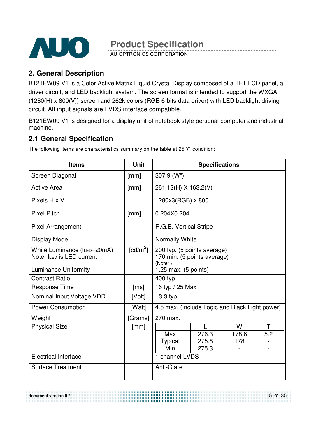

AU OPTRONICS CORPORATION

### **2. General Description**

B121EW09 V1 is a Color Active Matrix Liquid Crystal Display composed of a TFT LCD panel, a driver circuit, and LED backlight system. The screen format is intended to support the WXGA (1280(H) x 800(V)) screen and 262k colors (RGB 6-bits data driver) with LED backlight driving circuit. All input signals are LVDS interface compatible.

B121EW09 V1 is designed for a display unit of notebook style personal computer and industrial machine.

### **2.1 General Specification**

The following items are characteristics summary on the table at 25  $\degree$ C condition:

| <b>Items</b>                                             | <b>Unit</b> |                                                                       | <b>Specifications</b> |       |     |
|----------------------------------------------------------|-------------|-----------------------------------------------------------------------|-----------------------|-------|-----|
| Screen Diagonal                                          | [mm]        | $307.9$ (W")                                                          |                       |       |     |
| <b>Active Area</b>                                       | [mm]        | 261.12(H) X 163.2(V)                                                  |                       |       |     |
| Pixels H x V                                             |             | 1280x3(RGB) x 800                                                     |                       |       |     |
| <b>Pixel Pitch</b>                                       | [mm]        | 0.204X0.204                                                           |                       |       |     |
| <b>Pixel Arrangement</b>                                 |             | R.G.B. Vertical Stripe                                                |                       |       |     |
| Display Mode                                             |             | <b>Normally White</b>                                                 |                       |       |     |
| White Luminance (ILED=20mA)<br>Note: ILED is LED current | [ $cd/m2$ ] | 200 typ. (5 points average)<br>170 min. (5 points average)<br>(Note1) |                       |       |     |
| <b>Luminance Uniformity</b>                              |             | 1.25 max. (5 points)                                                  |                       |       |     |
| <b>Contrast Ratio</b>                                    |             | 400 typ                                                               |                       |       |     |
| <b>Response Time</b>                                     | [ms]        | 16 typ / 25 Max                                                       |                       |       |     |
| Nominal Input Voltage VDD                                | [Volt]      | $+3.3$ typ.                                                           |                       |       |     |
| <b>Power Consumption</b>                                 | [Watt]      | 4.5 max. (Include Logic and Black Light power)                        |                       |       |     |
| Weight                                                   | [Grams]     | 270 max.                                                              |                       |       |     |
| <b>Physical Size</b>                                     | [mm]        |                                                                       |                       | W     | Τ   |
|                                                          |             | Max                                                                   | 276.3                 | 178.6 | 5.2 |
|                                                          |             | Typical                                                               | 275.8                 | 178   |     |
|                                                          |             | Min                                                                   | 275.3                 |       |     |
| <b>Electrical Interface</b>                              |             | 1 channel LVDS                                                        |                       |       |     |
| <b>Surface Treatment</b>                                 |             | Anti-Glare                                                            |                       |       |     |

5 of 35 **document version 0.2** . ,,,,,,,,,,,,,,,,,,,,,,,,, ,,,,,,,,,,,,,,,,,,,,,,,,,,,,,,,,,,,,,,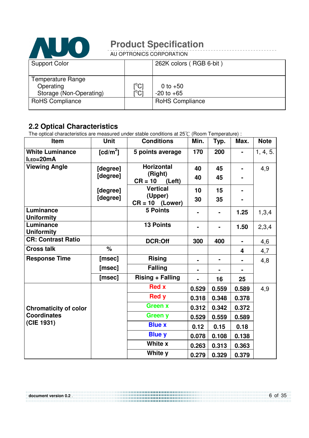

AU OPTRONICS CORPORATION

| <b>Support Color</b>                                             |                          | 262K colors (RGB 6-bit)      |
|------------------------------------------------------------------|--------------------------|------------------------------|
| <b>Temperature Range</b><br>Operating<br>Storage (Non-Operating) | $\rm [^{\circ}C]$<br>ΰCĪ | 0 to $+50$<br>$-20$ to $+65$ |
| <b>RoHS Compliance</b>                                           |                          | <b>RoHS Compliance</b>       |

### **2.2 Optical Characteristics**

The optical characteristics are measured under stable conditions at 25 $\degree$ C (Room Temperature) :

| Item                                | <b>Unit</b>          | <b>Conditions</b>              | Min.  | Typ.           | Max.  | <b>Note</b> |
|-------------------------------------|----------------------|--------------------------------|-------|----------------|-------|-------------|
| <b>White Luminance</b><br>ILED=20mA | [cd/m <sup>2</sup> ] | 5 points average               | 170   | 200            |       | 1, 4, 5.    |
| <b>Viewing Angle</b>                | [degree]             | <b>Horizontal</b>              | 40    | 45             |       | 4,9         |
|                                     | [degree]             | (Right)<br>$CR = 10$<br>(Left) | 40    | 45             |       |             |
|                                     | [degree]             | <b>Vertical</b>                | 10    | 15             |       |             |
|                                     | [degree]             | (Upper)<br>$CR = 10$ (Lower)   | 30    | 35             |       |             |
| Luminance<br><b>Uniformity</b>      |                      | <b>5 Points</b>                |       |                | 1.25  | 1,3,4       |
| Luminance<br><b>Uniformity</b>      |                      | <b>13 Points</b>               |       |                | 1.50  | 2,3,4       |
| <b>CR: Contrast Ratio</b>           |                      | <b>DCR:Off</b>                 | 300   | 400            |       | 4,6         |
| <b>Cross talk</b>                   | %                    |                                |       |                | 4     | 4,7         |
| <b>Response Time</b>                | [msec]               | <b>Rising</b>                  |       | $\blacksquare$ |       | 4,8         |
|                                     | [msec]               | <b>Falling</b>                 |       |                |       |             |
|                                     | [msec]               | <b>Rising + Falling</b>        |       | 16             | 25    |             |
|                                     |                      | <b>Red x</b>                   | 0.529 | 0.559          | 0.589 | 4,9         |
|                                     |                      | <b>Red y</b>                   | 0.318 | 0.348          | 0.378 |             |
| <b>Chromaticity of color</b>        |                      | <b>Green x</b>                 | 0.312 | 0.342          | 0.372 |             |
| <b>Coordinates</b>                  |                      | Green y                        | 0.529 | 0.559          | 0.589 |             |
| (CIE 1931)                          |                      | <b>Blue x</b>                  | 0.12  | 0.15           | 0.18  |             |
|                                     |                      | <b>Blue y</b>                  | 0.078 | 0.108          | 0.138 |             |
|                                     |                      | White x                        | 0.263 | 0.313          | 0.363 |             |
|                                     |                      | White y                        | 0.279 | 0.329          | 0.379 |             |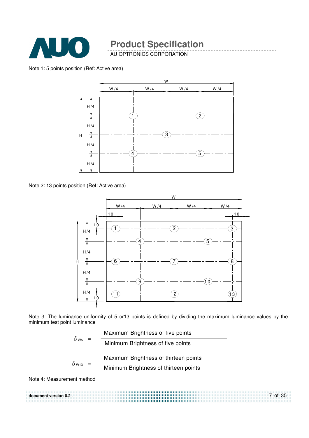

AU OPTRONICS CORPORATION

Note 1: 5 points position (Ref: Active area)



Note 2: 13 points position (Ref: Active area)



Note 3: The luminance uniformity of 5 or13 points is defined by dividing the maximum luminance values by the minimum test point luminance

|                          | Maximum Brightness of five points |                                       |
|--------------------------|-----------------------------------|---------------------------------------|
| $\delta$ W5              |                                   | Minimum Brightness of five points     |
|                          |                                   | Maximum Brightness of thirteen points |
| $\delta$ W <sub>13</sub> |                                   | Minimum Brightness of thirteen points |

Note 4: Measurement method

7 of 35 **document version 0.2** .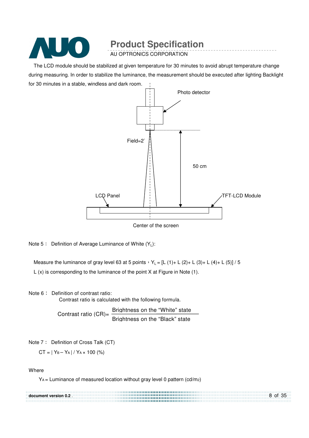

AU OPTRONICS CORPORATION

The LCD module should be stabilized at given temperature for 30 minutes to avoid abrupt temperature change during measuring. In order to stabilize the luminance, the measurement should be executed after lighting Backlight for 30 minutes in a stable, windless and dark room.



Center of the screen

Note  $5$ : Definition of Average Luminance of White  $(Y_1)$ :

Measure the luminance of gray level 63 at 5 points  $Y_L = [L (1) + L (2) + L (3) + L (4) + L (5)] / 5$ L (x) is corresponding to the luminance of the point X at Figure in Note (1).

Note 6: Definition of contrast ratio:

Contrast ratio is calculated with the following formula.

Contrast ratio  $(CR)$ =  $\frac{Brightness on the "White" state}$ Brightness on the "Black" state

Note 7: Definition of Cross Talk (CT)

 $CT = |Y_B - Y_A| / Y_A \times 100$  (%)

Where

YA = Luminance of measured location without gray level 0 pattern (cd/m2)

| document version 0.2. | 8 of 35 |
|-----------------------|---------|
|                       |         |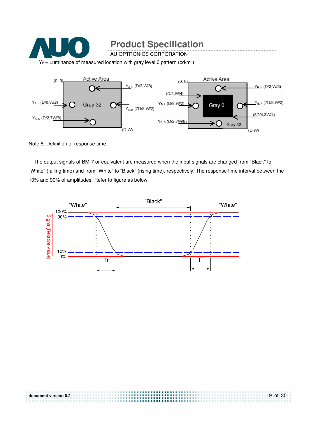

Note 8: Definition of response time:

The output signals of BM-7 or equivalent are measured when the input signals are changed from "Black" to "White" (falling time) and from "White" to "Black" (rising time), respectively. The response time interval between the 10% and 90% of amplitudes. Refer to figure as below.



| document version 0.2 | 9 of 35 |
|----------------------|---------|
|                      |         |
|                      |         |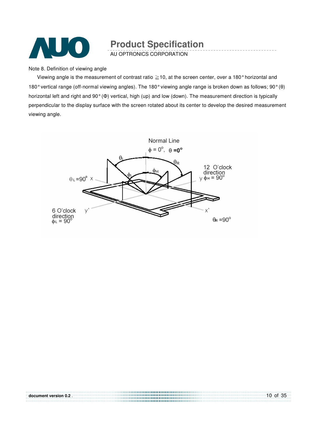

AU OPTRONICS CORPORATION

Note 8. Definition of viewing angle

Viewing angle is the measurement of contrast ratio  $\geq$  10, at the screen center, over a 180° horizontal and 180° vertical range (off-normal viewing angles). The 180° viewing angle range is broken down as follows; 90° (θ) horizontal left and right and 90° (Φ) vertical, high (up) and low (down). The measurement direction is typically perpendicular to the display surface with the screen rotated about its center to develop the desired measurement viewing angle.



| document version 0.2. | $10$ of 35 |
|-----------------------|------------|
|                       |            |
|                       |            |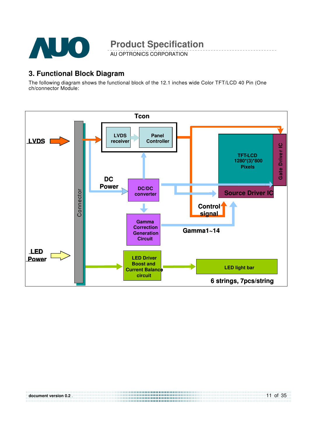

AU OPTRONICS CORPORATION

#### **3. Functional Block Diagram**

The following diagram shows the functional block of the 12.1 inches wide Color TFT/LCD 40 Pin (One ch/connector Module:



| document version 0.2. | 11 of 35 |
|-----------------------|----------|
|                       |          |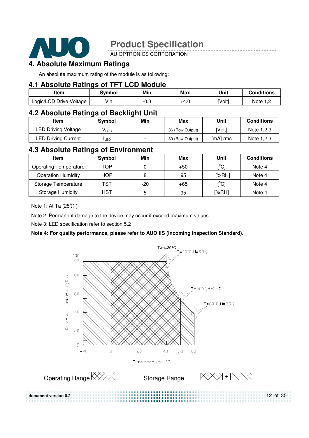

AU OPTRONICS CORPORATION

### **4. Absolute Maximum Ratings**

An absolute maximum rating of the module is as following:

#### **4.1 Absolute Ratings of TFT LCD Module**

| Item                    | <b>Symbol</b> | Min  | Max  | Unit   | <b>Conditions</b> |
|-------------------------|---------------|------|------|--------|-------------------|
| Logic/LCD Drive Voltage | Vin           | −∪.ບ | +4.0 | [Volt] | Note 1 m          |

#### **4.2 Absolute Ratings of Backlight Unit**

| Item                       | Svmbol           | Min                      | Max             | Unit        | <b>Conditions</b> |
|----------------------------|------------------|--------------------------|-----------------|-------------|-------------------|
| <b>LED Driving Voltage</b> | VLED             | $\overline{\phantom{0}}$ | 36 (Row Output) | <b>Volt</b> | Note 1,2,3        |
| <b>LED Driving Current</b> | <sup>I</sup> LED | $\overline{\phantom{0}}$ | 30 (Row Output) | [mA] rms    | Note 1,2,3        |

#### **4.3 Absolute Ratings of Environment**

| Item                         | Symbol     | Min   | Max   | Unit                                    | <b>Conditions</b> |
|------------------------------|------------|-------|-------|-----------------------------------------|-------------------|
| <b>Operating Temperature</b> | TOP        |       | $+50$ | $\mathsf{I}^\circ\mathsf{C}$            | Note 4            |
| <b>Operation Humidity</b>    | <b>HOP</b> | 8     | 95    | [%RH]                                   | Note 4            |
| Storage Temperature          | TST        | $-20$ | $+65$ | $\mathsf{I}^\circ\mathsf{C} \mathsf{I}$ | Note 4            |
| <b>Storage Humidity</b>      | HST        | 5     | 95    | [%RH]                                   | Note 4            |

Note 1: At Ta (25°C)

Note 2: Permanent damage to the device may occur if exceed maximum values

Note 3: LED specification refer to section 5.2

#### **Note 4: For quality performance, please refer to AUO IIS (Incoming Inspection Standard)**.



12 of 35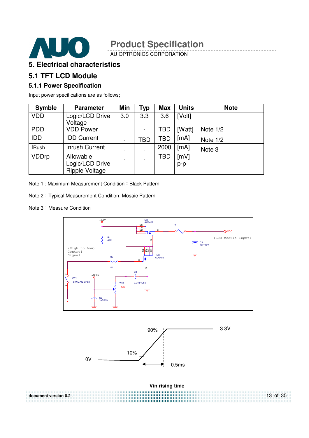

AU OPTRONICS CORPORATION

### **5. Electrical characteristics**

#### **5.1 TFT LCD Module**

#### **5.1.1 Power Specification**

Input power specifications are as follows;

| <b>Symble</b> | <b>Parameter</b>                                      | Min | Typ | <b>Max</b> | <b>Units</b>  | <b>Note</b> |
|---------------|-------------------------------------------------------|-----|-----|------------|---------------|-------------|
| <b>VDD</b>    | Logic/LCD Drive<br>Voltage                            | 3.0 | 3.3 | 3.6        | [Volt]        |             |
| <b>PDD</b>    | <b>VDD Power</b>                                      |     |     | TBD        | [Watt]        | Note 1/2    |
| <b>IDD</b>    | <b>IDD Current</b>                                    | ۰   | TBD | TBD        | [mA]          | Note $1/2$  |
| <b>IRush</b>  | <b>Inrush Current</b>                                 |     |     | 2000       | [mA]          | Note 3      |
| <b>VDDrp</b>  | Allowable<br>Logic/LCD Drive<br><b>Ripple Voltage</b> |     |     | TBD        | [mV]<br>$p-p$ |             |

Note 1 : Maximum Measurement Condition : Black Pattern

Note 2 Typical Measurement Condition: Mosaic Pattern

Note 3: Measure Condition

**document version 0.2** .





**Vin rising time** 

13 of 35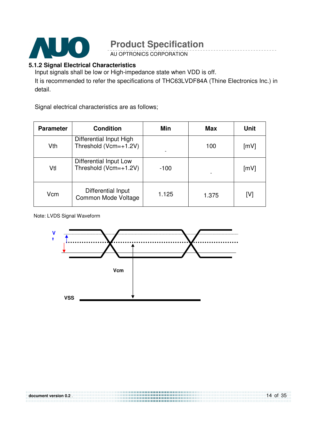

AU OPTRONICS CORPORATION

#### **5.1.2 Signal Electrical Characteristics**

Input signals shall be low or High-impedance state when VDD is off.

It is recommended to refer the specifications of THC63LVDF84A (Thine Electronics Inc.) in detail.

Signal electrical characteristics are as follows;

| <b>Parameter</b> | <b>Condition</b>                                 | Min    | <b>Max</b> | Unit |
|------------------|--------------------------------------------------|--------|------------|------|
| Vth              | Differential Input High<br>Threshold (Vcm=+1.2V) |        | 100        | [mV] |
| Vtl              | Differential Input Low<br>Threshold (Vcm=+1.2V)  | $-100$ |            | [mV] |
| Vcm              | Differential Input<br>Common Mode Voltage        | 1.125  | 1.375      | [V]  |

Note: LVDS Signal Waveform

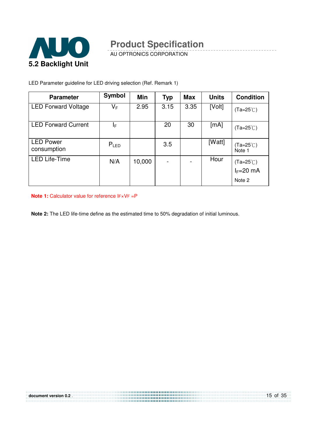

-----------------

AU OPTRONICS CORPORATION

LED Parameter guideline for LED driving selection (Ref. Remark 1)

| <b>Parameter</b>                | <b>Symbol</b> | Min    | <b>Typ</b> | <b>Max</b> | <b>Units</b> | <b>Condition</b>                            |
|---------------------------------|---------------|--------|------------|------------|--------------|---------------------------------------------|
| <b>LED Forward Voltage</b>      | VF            | 2.95   | 3.15       | 3.35       | [Volt]       | $(Ta=25^{\circ}C)$                          |
| <b>LED Forward Current</b>      | ΙF            |        | 20         | 30         | [mA]         | $(Ta=25^{\circ}C)$                          |
| <b>LED Power</b><br>consumption | $P_{LED}$     |        | 3.5        |            | [Watt]       | $(Ta=25^{\circ}C)$<br>Note 1                |
| <b>LED Life-Time</b>            | N/A           | 10,000 |            |            | Hour         | (Ta=25℃)<br>I <sub>F</sub> =20 mA<br>Note 2 |

**Note 1:** Calculator value for reference IF×VF =P

**Note 2:** The LED life-time define as the estimated time to 50% degradation of initial luminous.

| document version 0.2. | 15 of 35 |
|-----------------------|----------|
|                       |          |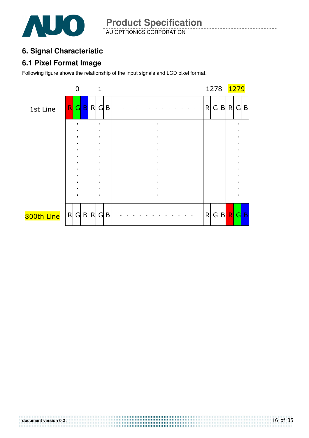

### **6. Signal Characteristic**

### **6.1 Pixel Format Image**

Following figure shows the relationship of the input signals and LCD pixel format.

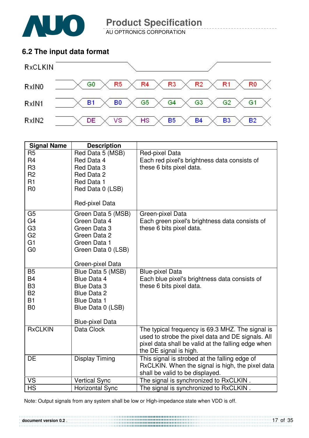

**document version 0.2** .

**Product Specification** 

AU OPTRONICS CORPORATION

### **6.2 The input data format**



| <b>Signal Name</b> | <b>Description</b>               |                                                                         |
|--------------------|----------------------------------|-------------------------------------------------------------------------|
| R <sub>5</sub>     | Red Data 5 (MSB)                 | Red-pixel Data                                                          |
| R <sub>4</sub>     | Red Data 4                       | Each red pixel's brightness data consists of                            |
| R <sub>3</sub>     | Red Data 3                       | these 6 bits pixel data.                                                |
| R <sub>2</sub>     | Red Data 2                       |                                                                         |
| R1                 | Red Data 1                       |                                                                         |
| R <sub>0</sub>     | Red Data 0 (LSB)                 |                                                                         |
|                    |                                  |                                                                         |
|                    | Red-pixel Data                   |                                                                         |
| G <sub>5</sub>     | Green Data 5 (MSB)               | Green-pixel Data                                                        |
| G <sub>4</sub>     | Green Data 4                     | Each green pixel's brightness data consists of                          |
| G <sub>3</sub>     | Green Data 3                     | these 6 bits pixel data.                                                |
| G <sub>2</sub>     | Green Data 2                     |                                                                         |
| G1                 | Green Data 1                     |                                                                         |
| G <sub>0</sub>     | Green Data 0 (LSB)               |                                                                         |
|                    |                                  |                                                                         |
| <b>B5</b>          | Green-pixel Data                 |                                                                         |
| <b>B4</b>          | Blue Data 5 (MSB)<br>Blue Data 4 | <b>Blue-pixel Data</b><br>Each blue pixel's brightness data consists of |
| B <sub>3</sub>     | <b>Blue Data 3</b>               | these 6 bits pixel data.                                                |
| <b>B2</b>          | <b>Blue Data 2</b>               |                                                                         |
| <b>B1</b>          | <b>Blue Data 1</b>               |                                                                         |
| B <sub>0</sub>     | Blue Data 0 (LSB)                |                                                                         |
|                    |                                  |                                                                         |
|                    | <b>Blue-pixel Data</b>           |                                                                         |
| <b>RxCLKIN</b>     | Data Clock                       | The typical frequency is 69.3 MHZ. The signal is                        |
|                    |                                  | used to strobe the pixel data and DE signals. All                       |
|                    |                                  | pixel data shall be valid at the falling edge when                      |
|                    |                                  | the DE signal is high.                                                  |
| DE                 | <b>Display Timing</b>            | This signal is strobed at the falling edge of                           |
|                    |                                  | RxCLKIN. When the signal is high, the pixel data                        |
|                    |                                  | shall be valid to be displayed.                                         |
| VS                 | <b>Vertical Sync</b>             | The signal is synchronized to RxCLKIN.                                  |
| <b>HS</b>          | <b>Horizontal Sync</b>           | The signal is synchronized to RxCLKIN.                                  |

Note: Output signals from any system shall be low or High-impedance state when VDD is off.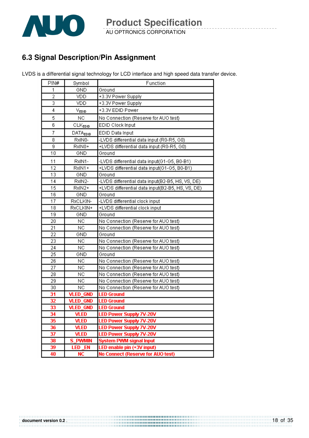

### **6.3 Signal Description/Pin Assignment**

LVDS is a differential signal technology for LCD interface and high speed data transfer device.

| PIN#           | Symbol               | Function                                         |
|----------------|----------------------|--------------------------------------------------|
| 1              | GND                  | Ground                                           |
| $\overline{2}$ | <b>VDD</b>           | +3.3V Power Supply                               |
| 3              | VDD                  | +3.3V Power Supply                               |
| 4              | V <sub>EDID</sub>    | +3.3V EDID Power                                 |
| 5              | NC                   | No Connection (Reserve for AUO test)             |
| 6              | CLK <sub>EDID</sub>  | EDID Clock Input                                 |
| 7              | DATA <sub>EDID</sub> | EDID Data Input                                  |
| $\overline{8}$ | RxIN0-               | -LVDS differential data input (R0-R5, G0)        |
| 9              | RxIN0+               | +LVDS differential data input (R0-R5, G0)        |
| 10             | GND                  | Ground                                           |
| 11             | RxIN1-               | -LVDS differential data input(G1-G5, B0-B1)      |
| 12             | RxIN1+               | +LVDS differential data input(G1-G5, B0-B1)      |
| 13             | GND                  | Ground                                           |
| 14             | RxIN2-               | -LVDS differential data input(B2-B5, HS, VS, DE) |
| 15             | RxIN2+               | +LVDS differential data input(B2-B5, HS, VS, DE) |
| 16             | GND                  | Ground                                           |
| 17             | RXCLKIN-             | -LVDS differential clock input                   |
| 18             | RxCLKIN+             | +LVDS differential clock input                   |
| 19             | GND                  | Ground                                           |
| 20             | NC                   | No Connection (Reserve for AUO test)             |
| 21             | NC.                  | No Connection (Reserve for AUO test)             |
| 22             | GND                  | Ground                                           |
| 23             | NC                   | No Connection (Reserve for AUO test)             |
| 24             | NC                   | No Connection (Reserve for AUO test)             |
| 25             | GND                  | Ground                                           |
| 26             | NC                   | No Connection (Reserve for AUO test)             |
| 27             | NC                   | No Connection (Reserve for AUO test)             |
| 28             | NC                   | No Connection (Reserve for AUO test)             |
| 29             | NC                   | No Connection (Reserve for AUO test)             |
| 30             | NC                   | No Connection (Reserve for AUO test)             |
| 31             | <b>VLED_GND</b>      | <b>LED Ground</b>                                |
| 32             | <b>VLED GND</b>      | <b>LED Ground</b>                                |
| 33             | <b>VLED_GND</b>      | <b>LED Ground</b>                                |
| 34             | VLED                 | LED Power Supply 7V-20V                          |
| 35             | <b>VLED</b>          | <b>LED Power Supply 7V-20V</b>                   |
| 36             | <b>VLED</b>          | <b>LED Power Supply 7V-20V</b>                   |
| 37             | <b>VLED</b>          | <b>LED Power Supply 7V-20V</b>                   |
| 38             | <b>PWMIN</b><br>s    | <b>System PWM signal Input</b>                   |
| 39             | <b>LED EN</b>        | LED enable pin (+3V input)                       |
| 40             | <b>NC</b>            | No Connect (Reserve for AUO test)                |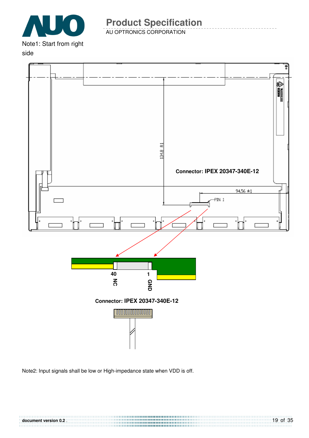

AU OPTRONICS CORPORATION

#### side



Note2: Input signals shall be low or High-impedance state when VDD is off.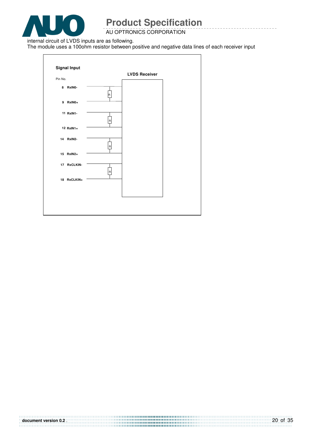

AU OPTRONICS CORPORATION

internal circuit of LVDS inputs are as following.

The module uses a 100ohm resistor between positive and negative data lines of each receiver input

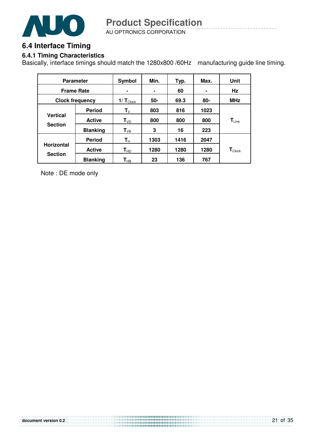

### **6.4 Interface Timing**

#### **6.4.1 Timing Characteristics**

Basically, interface timings should match the 1280x800 /60Hz manufacturing guide line timing.

|                   | <b>Parameter</b>       | Symbol                     | Min. | Typ. | Max.   | Unit                          |
|-------------------|------------------------|----------------------------|------|------|--------|-------------------------------|
| <b>Frame Rate</b> |                        |                            | ۰    | 60   |        | Hz                            |
|                   | <b>Clock frequency</b> | 1/ $T_{\text{Clock}}$      | 50-  | 69.3 | $80 -$ | <b>MHz</b>                    |
|                   | <b>Period</b>          | $\mathsf{T}_\mathsf{V}$    | 803  | 816  | 1023   |                               |
| <b>Vertical</b>   | <b>Active</b>          | $T_{VD}$                   | 800  | 800  | 800    | $\mathsf{T}_{\mathsf{Line}}$  |
| <b>Section</b>    | <b>Blanking</b>        | $T_{VB}$                   | 3    | 16   | 223    |                               |
|                   | <b>Period</b>          | $\mathbf{T}_{\mathsf{H}}$  | 1303 | 1416 | 2047   |                               |
| <b>Horizontal</b> | <b>Active</b>          | $T_{HD}$                   | 1280 | 1280 | 1280   | $\mathbf{T}_{\textsf{Clock}}$ |
| <b>Section</b>    | <b>Blanking</b>        | $\mathsf{T}_{\mathsf{HB}}$ | 23   | 136  | 767    |                               |

Note : DE mode only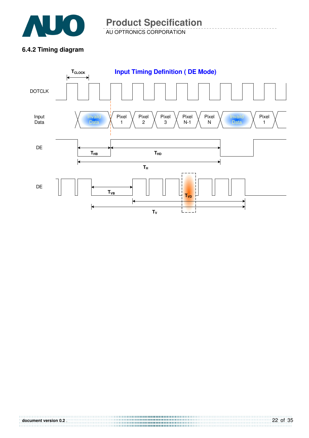

### **6.4.2 Timing diagram**

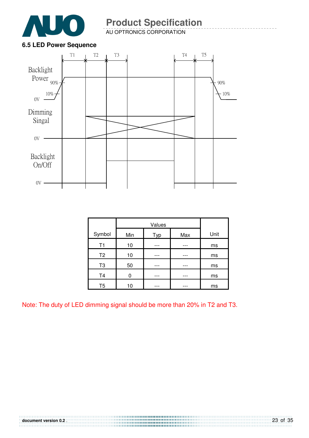

AU OPTRONICS CORPORATION

### **6.5 LED Power Sequence**



| Symbol         | Min | Typ | Max | Unit |
|----------------|-----|-----|-----|------|
| T <sub>1</sub> | 10  |     |     | ms   |
| T <sub>2</sub> | 10  |     |     | ms   |
| T <sub>3</sub> | 50  |     |     | ms   |
| T <sub>4</sub> |     |     |     | ms   |
| T <sub>5</sub> | 10  |     |     | ms   |

Note: The duty of LED dimming signal should be more than 20% in T2 and T3.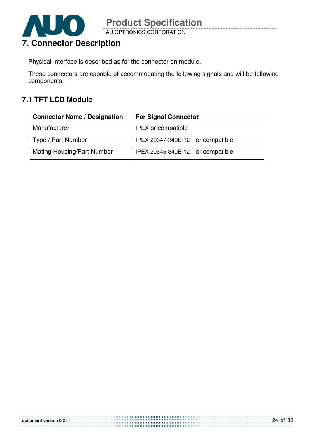

Physical interface is described as for the connector on module.

These connectors are capable of accommodating the following signals and will be following components.

### **7.1 TFT LCD Module**

| <b>Connector Name / Designation</b> | <b>For Signal Connector</b>      |  |  |
|-------------------------------------|----------------------------------|--|--|
| Manufacturer                        | <b>IPEX</b> or compatible        |  |  |
| Type / Part Number                  | IPEX 20347-340E-12 or compatible |  |  |
| <b>Mating Housing/Part Number</b>   | IPEX 20345-340E-12 or compatible |  |  |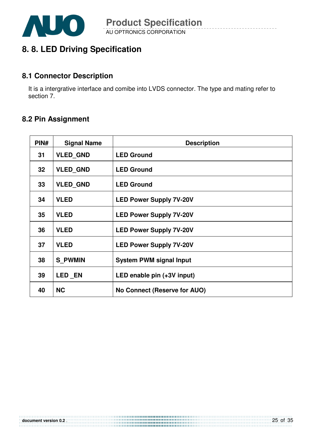

### **8. 8. LED Driving Specification**

### **8.1 Connector Description**

It is a intergrative interface and comibe into LVDS connector. The type and mating refer to section 7.

### **8.2 Pin Assignment**

| PIN#            | <b>Signal Name</b> | <b>Description</b>             |
|-----------------|--------------------|--------------------------------|
| 31              | <b>VLED GND</b>    | <b>LED Ground</b>              |
| 32 <sub>2</sub> | <b>VLED GND</b>    | <b>LED Ground</b>              |
| 33              | <b>VLED GND</b>    | <b>LED Ground</b>              |
| 34              | <b>VLED</b>        | <b>LED Power Supply 7V-20V</b> |
| 35              | <b>VLED</b>        | <b>LED Power Supply 7V-20V</b> |
| 36              | <b>VLED</b>        | <b>LED Power Supply 7V-20V</b> |
| 37              | <b>VLED</b>        | <b>LED Power Supply 7V-20V</b> |
| 38              | <b>S_PWMIN</b>     | <b>System PWM signal Input</b> |
| 39              | LED EN             | LED enable pin (+3V input)     |
| 40              | <b>NC</b>          | No Connect (Reserve for AUO)   |

**document version 0.2** .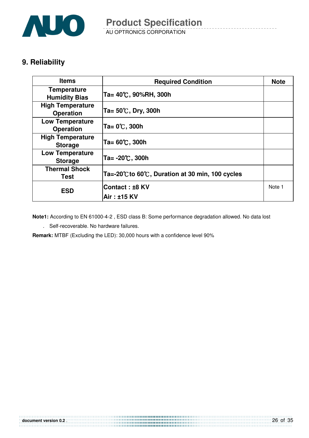

### **9. Reliability**

| <b>Items</b>                                | <b>Required Condition</b>                        |        |
|---------------------------------------------|--------------------------------------------------|--------|
| <b>Temperature</b><br><b>Humidity Bias</b>  | Ta= 40℃, 90%RH, 300h                             |        |
| <b>High Temperature</b><br><b>Operation</b> | Ta= $50^{\circ}$ C, Dry, 300h                    |        |
| <b>Low Temperature</b><br><b>Operation</b>  | Ta= 0℃, 300h                                     |        |
| <b>High Temperature</b><br><b>Storage</b>   | Ta= 60℃, 300h                                    |        |
| <b>Low Temperature</b><br><b>Storage</b>    | Ta= -20℃, 300h                                   |        |
| <b>Thermal Shock</b><br><b>Test</b>         | Ta=-20°C to 60°C, Duration at 30 min, 100 cycles |        |
| <b>ESD</b>                                  | Contact : ±8 KV                                  | Note 1 |
|                                             | Air : ±15 KV                                     |        |

**Note1:** According to EN 61000-4-2 , ESD class B: Some performance degradation allowed. No data lost

. Self-recoverable. No hardware failures.

**Remark:** MTBF (Excluding the LED): 30,000 hours with a confidence level 90%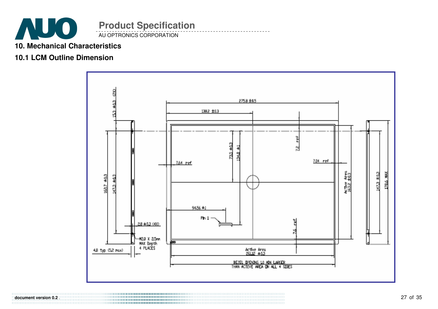

### **10. Mechanical Characteristics**

### **10.1 LCM Outline Dimension**



**document version 0.2** .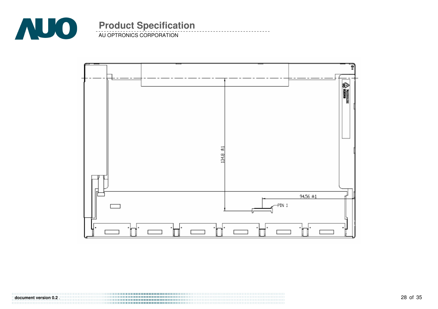

AU OPTRONICS CORPORATION



**document version 0.2** .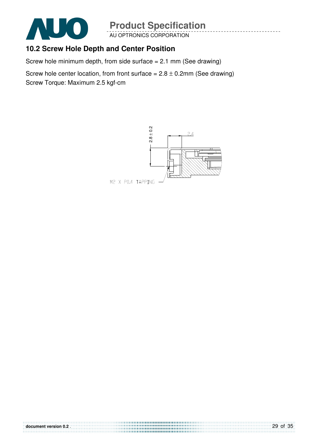

AU OPTRONICS CORPORATION

### **10.2 Screw Hole Depth and Center Position**

Screw hole minimum depth, from side surface = 2.1 mm (See drawing)

Screw hole center location, from front surface =  $2.8 \pm 0.2$ mm (See drawing) Screw Torque: Maximum 2.5 kgf-cm

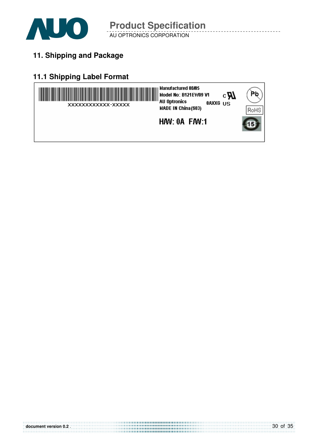

## **11. Shipping and Package**

## **11.1 Shipping Label Format**

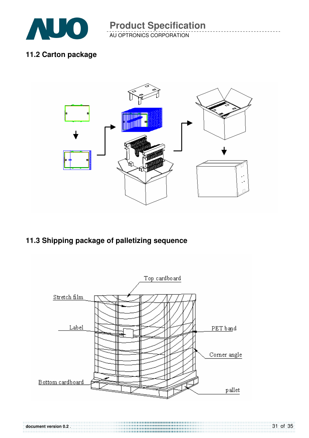

### **11.2 Carton package**



### **11.3 Shipping package of palletizing sequence**

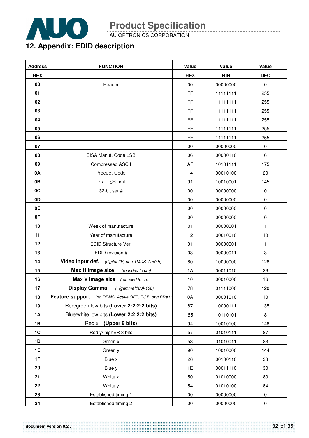

AU OPTRONICS CORPORATION

## **12. Appendix: EDID description**

| <b>Address</b> | <b>FUNCTION</b>                                       | Value          | Value      | Value                     |
|----------------|-------------------------------------------------------|----------------|------------|---------------------------|
| <b>HEX</b>     |                                                       | <b>HEX</b>     | <b>BIN</b> | <b>DEC</b>                |
| 00             | Header                                                | $00\,$         | 00000000   | $\pmb{0}$                 |
| 01             |                                                       | <b>FF</b>      | 11111111   | 255                       |
| 02             |                                                       | FF             | 11111111   | 255                       |
| 03             |                                                       | FF             | 11111111   | 255                       |
| 04             |                                                       | FF             | 11111111   | 255                       |
| 05             |                                                       | FF             | 11111111   | 255                       |
| 06             |                                                       | FF             | 11111111   | 255                       |
| 07             |                                                       | 00             | 00000000   | $\pmb{0}$                 |
| 08             | EISA Manuf. Code LSB                                  | 06             | 00000110   | $\,6\,$                   |
| 09             | <b>Compressed ASCII</b>                               | AF             | 10101111   | 175                       |
| 0A             | Product Code                                          | 14             | 00010100   | 20                        |
| 0B             | hex, LSB first                                        | 91             | 10010001   | 145                       |
| 0C             | 32-bit ser #                                          | 00             | 00000000   | $\pmb{0}$                 |
| 0D             |                                                       | 00             | 00000000   | $\pmb{0}$                 |
| 0E             |                                                       | 00             | 00000000   | 0                         |
| 0F             |                                                       | $00\,$         | 00000000   | $\pmb{0}$                 |
| 10             | Week of manufacture                                   | 01             | 00000001   | $\mathbf{1}$              |
| 11             | Year of manufacture                                   | 12             | 00010010   | 18                        |
| 12             | EDID Structure Ver.                                   | 01             | 00000001   | $\mathbf{1}$              |
| 13             | EDID revision #                                       | 03             | 00000011   | $\ensuremath{\mathsf{3}}$ |
| 14             | Video input def. (digital I/P, non-TMDS, CRGB)        | 80             | 10000000   | 128                       |
| 15             | Max H image size<br>(rounded to cm)                   | 1A             | 00011010   | 26                        |
| 16             | Max V image size<br>(rounded to cm)                   | 10             | 00010000   | 16                        |
| 17             | <b>Display Gamma</b><br>$(=(gamma*100)-100)$          | 78             | 01111000   | 120                       |
| 18             | Feature support (no DPMS, Active OFF, RGB, tmg Blk#1) | 0A             | 00001010   | 10                        |
| 19             | Red/green low bits (Lower 2:2:2:2 bits)               | 87             | 10000111   | 135                       |
| <b>1A</b>      | Blue/white low bits (Lower 2:2:2:2 bits)              | B <sub>5</sub> | 10110101   | 181                       |
| 1B             | Red x (Upper 8 bits)                                  | 94             | 10010100   | 148                       |
| 1C             | Red y/ highER 8 bits                                  | 57             | 01010111   | 87                        |
| 1D             | Green x                                               | 53             | 01010011   | 83                        |
| 1E             | Green y                                               | 90             | 10010000   | 144                       |
| 1F             | Blue x                                                | 26             | 00100110   | 38                        |
| 20             | Blue y                                                | 1E             | 00011110   | 30                        |
| 21             | White x                                               | 50             | 01010000   | 80                        |
| 22             | White y                                               | 54             | 01010100   | 84                        |
| 23             | Established timing 1                                  | $00\,$         | 00000000   | $\pmb{0}$                 |
| 24             | Established timing 2                                  | $00\,$         | 00000000   | $\pmb{0}$                 |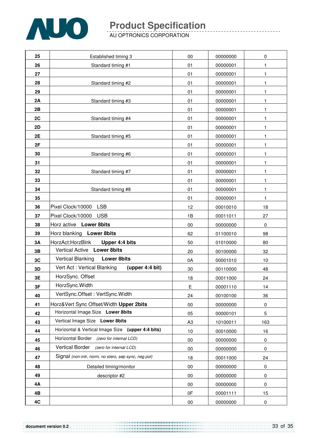

AU OPTRONICS CORPORATION

| 25 | Established timing 3                                 | 00             | 00000000 | 0         |
|----|------------------------------------------------------|----------------|----------|-----------|
| 26 | Standard timing #1                                   | 01             | 00000001 | 1         |
| 27 |                                                      | 01             | 00000001 | 1         |
| 28 | Standard timing #2                                   | 01             | 00000001 | 1         |
| 29 |                                                      | 01             | 00000001 | 1         |
| 2A | Standard timing #3                                   | 01             | 00000001 | 1         |
| 2B |                                                      | 01             | 00000001 | 1         |
| 2C | Standard timing #4                                   | 01             | 00000001 | 1         |
| 2D |                                                      | 01             | 00000001 | 1         |
| 2E | Standard timing #5                                   | 01             | 00000001 | 1         |
| 2F |                                                      | 01             | 00000001 | 1         |
| 30 | Standard timing #6                                   | 01             | 00000001 | 1         |
| 31 |                                                      | 01             | 00000001 | 1         |
| 32 | Standard timing #7                                   | 01             | 00000001 | 1         |
| 33 |                                                      | 01             | 00000001 | 1         |
| 34 | Standard timing #8                                   | 01             | 00000001 | 1         |
| 35 |                                                      | 01             | 00000001 | 1         |
| 36 | Pixel Clock/10000<br><b>LSB</b>                      | 12             | 00010010 | 18        |
| 37 | Pixel Clock/10000<br><b>USB</b>                      | 1B             | 00011011 | 27        |
| 38 | Horz active Lower 8bits                              | 00             | 00000000 | 0         |
| 39 | Horz blanking Lower 8bits                            | 62             | 01100010 | 98        |
| 3A | HorzAct:HorzBlnk<br>Upper 4:4 bits                   | 50             | 01010000 | 80        |
| 3B | <b>Vertical Active</b><br><b>Lower 8bits</b>         | 20             | 00100000 | 32        |
| 3C | <b>Vertical Blanking</b><br><b>Lower 8bits</b>       | 0A             | 00001010 | 10        |
| 3D | Vert Act: Vertical Blanking<br>(upper 4:4 bit)       | 30             | 00110000 | 48        |
| 3E | HorzSync. Offset                                     | 18             | 00011000 | 24        |
| 3F | HorzSync.Width                                       | Е              | 00001110 | 14        |
| 40 | VertSync.Offset: VertSync.Width                      | 24             | 00100100 | 36        |
| 41 | Horz‖ Sync Offset/Width Upper 2bits                  | 00             | 00000000 | $\pmb{0}$ |
| 42 | Horizontal Image Size Lower 8bits                    | 05             | 00000101 | 5         |
| 43 | Vertical Image Size Lower 8bits                      | A <sub>3</sub> | 10100011 | 163       |
| 44 | Horizontal & Vertical Image Size (upper 4:4 bits)    | 10             | 00010000 | 16        |
| 45 | Horizontal Border (zero for internal LCD)            | 00             | 00000000 | 0         |
| 46 | Vertical Border (zero for internal LCD)              | 00             | 00000000 | $\pmb{0}$ |
| 47 | Signal (non-intr, norm, no stero, sep sync, neg pol) | 18             | 00011000 | 24        |
| 48 | Detailed timing/monitor                              | 00             | 00000000 | 0         |
| 49 | descriptor #2                                        | 00             | 00000000 | $\pmb{0}$ |
| 4Α |                                                      | 00             | 00000000 | $\pmb{0}$ |
| 4B |                                                      | 0F             | 00001111 | 15        |
| 4C |                                                      | 00             | 00000000 | $\pmb{0}$ |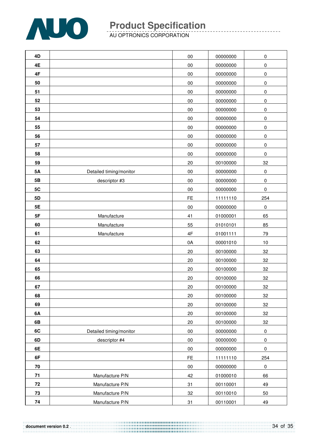

AU OPTRONICS CORPORATION

| 4D        |                         | 00        | 00000000 | $\pmb{0}$   |
|-----------|-------------------------|-----------|----------|-------------|
| 4E        |                         | $00\,$    | 00000000 | $\pmb{0}$   |
| 4F        |                         | $00\,$    | 00000000 | $\pmb{0}$   |
| 50        |                         | 00        | 00000000 | $\mathbf 0$ |
| 51        |                         | $00\,$    | 00000000 | $\pmb{0}$   |
| 52        |                         | $00\,$    | 00000000 | $\pmb{0}$   |
| 53        |                         | $00\,$    | 00000000 | $\mathbf 0$ |
| 54        |                         | $00\,$    | 00000000 | $\pmb{0}$   |
| 55        |                         | $00\,$    | 00000000 | $\pmb{0}$   |
| 56        |                         | $00\,$    | 00000000 | $\pmb{0}$   |
| 57        |                         | $00\,$    | 00000000 | $\pmb{0}$   |
| 58        |                         | 00        | 00000000 | $\pmb{0}$   |
| 59        |                         | 20        | 00100000 | 32          |
| <b>5A</b> | Detailed timing/monitor | $00\,$    | 00000000 | $\pmb{0}$   |
| 5B        | descriptor #3           | 00        | 00000000 | $\pmb{0}$   |
| 5C        |                         | $00\,$    | 00000000 | $\pmb{0}$   |
| 5D        |                         | <b>FE</b> | 11111110 | 254         |
| 5E        |                         | $00\,$    | 00000000 | $\mathbf 0$ |
| 5F        | Manufacture             | 41        | 01000001 | 65          |
| 60        | Manufacture             | 55        | 01010101 | 85          |
| 61        | Manufacture             | 4F        | 01001111 | 79          |
| 62        |                         | 0A        | 00001010 | 10          |
| 63        |                         | 20        | 00100000 | 32          |
| 64        |                         | 20        | 00100000 | 32          |
| 65        |                         | 20        | 00100000 | 32          |
| 66        |                         | 20        | 00100000 | 32          |
| 67        |                         | 20        | 00100000 | 32          |
| 68        |                         | 20        | 00100000 | 32          |
| 69        |                         | 20        | 00100000 | 32          |
| 6A        |                         | 20        | 00100000 | 32          |
| 6B        |                         | 20        | 00100000 | 32          |
| 6C        | Detailed timing/monitor | $00\,$    | 00000000 | $\mathbf 0$ |
| 6D        | descriptor #4           | $00\,$    | 00000000 | $\pmb{0}$   |
| 6E        |                         | $00\,$    | 00000000 | $\pmb{0}$   |
| 6F        |                         | <b>FE</b> | 11111110 | 254         |
| 70        |                         | $00\,$    | 00000000 | $\pmb{0}$   |
| $71$      | Manufacture P/N         | 42        | 01000010 | 66          |
| 72        | Manufacture P/N         | 31        | 00110001 | 49          |
| 73        | Manufacture P/N         | 32        | 00110010 | 50          |
| 74        | Manufacture P/N         | 31        | 00110001 | 49          |